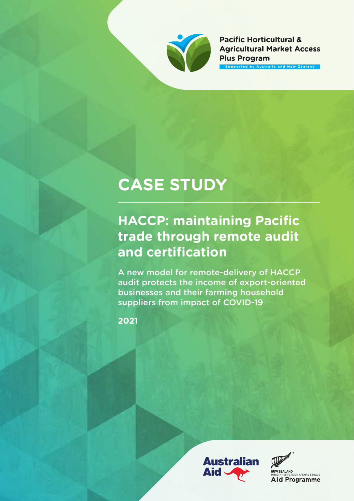

**Pacific Horticultural & Agricultural Market Access Plus Program** pported by Australia and New Zealand

# **CASE STUDY**

## **HACCP: maintaining Pacific trade through remote audit and certification**

A new model for remote-delivery of HACCP audit protects the income of export-oriented businesses and their farming household suppliers from impact of COVID-19

**2021**



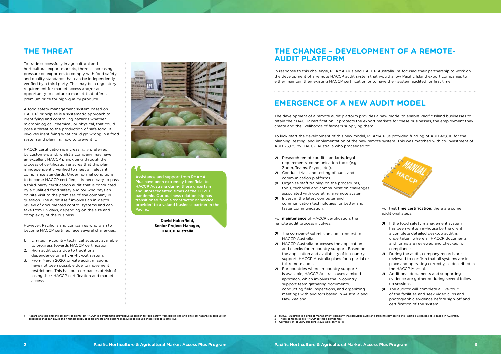To trade successfully in agricultural and horticultural export markets, there is increasing pressure on exporters to comply with food safety and quality standards that can be independently verified by a third party. This may be a regulatory requirement for market access and/or an opportunity to capture a market that offers a premium price for high-quality produce.

A food safety management system based on HACCP**<sup>1</sup>** principles is a systematic approach to identifying and controlling hazards whether microbiological, chemical, or physical, that could pose a threat to the production of safe food. It involves identifying what could go wrong in a food system and planning how to prevent it.

HACCP certification is increasingly preferred by customers and, whilst a company may have an excellent HACCP plan, going through the process of certification ensures that this plan is independently verified to meet all relevant compliance standards. Under normal conditions, to become HACCP certified, it is necessary to pass a third-party certification audit that is conducted by a qualified food safety auditor who pays an on-site visit to the premises of the company in question. The audit itself involves an in-depth review of documented control systems and can take from 1-5 days, depending on the size and complexity of the business.

However, Pacific Island companies who wish to become HACCP certified face several challenges:

- 1. Limited in-country technical support available to progress towards HACCP certification.
- 2. High audit costs due to traditional dependence on a fly-in-fly-out system.
- 3. From March 2020, on-site audit missions have not been possible due to movement restrictions. This has put companies at risk of losing their HACCP certification and market access.



- 2 HACCP Australia is a project management company that provides audit and training services to the Pacific businesses. It is based in Australia. 3 These companies are HACCP certified companies
- Currently, in-country support is available only in Fij
- 

### **THE THREAT THE CHANGE – DEVELOPMENT OF A REMOTE-AUDIT PLATFORM**

### **EMERGENCE OF A NEW AUDIT MODEL**

Assistance and support from PHAMA Plus have been extremely beneficial to HACCP Australia during these uncertain and unprecedented times of the COVID pandemic. Our business relationship has transitioned from a 'contractor or service provider' to a valued business partner in the Pacific.

> **David Haberfield, Senior Project Manager, HACCP Australia**

In response to this challenge, PHAMA Plus and HACCP Australia**2** re-focused their partnership to work on the development of a remote HACCP audit system that would allow Pacific Island export companies to either maintain their existing HACCP certification or to have their system audited for first time.

The development of a remote audit platform provides a new model to enable Pacific Island businesses to retain their HACCP certification. It protects the export markets for these businesses, the employment they create and the livelihoods of farmers supplying them.

To kick-start the development of this new model, PHAMA Plus provided funding of AUD 48,810 for the planning, testing, and implementation of the new remote system. This was matched with co-investment of AUD 25,125 by HACCP Australia who proceeded to:

- ↗ Research remote audit standards, legal requirements, communication tools (e.g. Zoom, Teams, Skype, etc.).
- ↗ Conduct trials and testing of audit and communication platforms.
- $\overline{z}$  Organise staff training on the procedures, tools, technical and communication challenges associated with operating a remote system.
- ↗ Invest in the latest computer and communication technologies for better and faster communication.

For **maintenance** of HACCP certification, the remote audit process involves:

- ↗ The company**3** submits an audit request to HACCP Australia.
- ↗ HACCP Australia processes the application and checks for in-country support. Based on the application and availability of in-country support, HACCP Australia plans for a partial or full remote audit.
- ↗ For countries where in-country support**<sup>4</sup>** is available, HACCP Australia uses a mixed approach, which involves the in-country support team gathering documents, conducting field inspections, and organizing meetings with auditors based in Australia and New Zealand.

Hazard analysis and critical control points, or HACCP, is a systematic preventive approach to food safety from biological, and physical hazards in production<br>processes that can cause the finished product to be unsafe and d

For **first time certification**, there are some additional steps:

- ↗ If the food safety management system has been written in-house by the client, a complete detailed desktop audit is undertaken, where all HACCP documents and forms are reviewed and checked for compliance.
- ↗ During the audit, company records are reviewed to confirm that all systems are in place and operating correctly, as described in the HACCP Manual.
- ↗ Additional documents and supporting evidence are gathered during several followup sessions.
- ↗ The auditor will complete a 'live-tour' of the facilities and seek video clips and photographic evidence before sign-off and certification of the system.

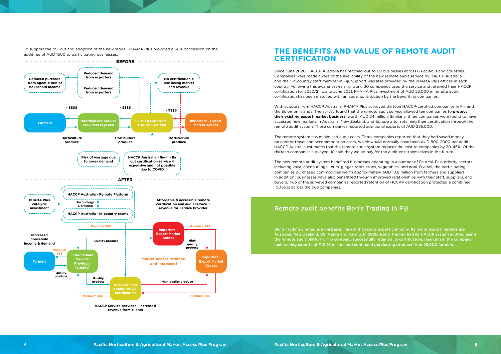To support the roll-out and adoption of the new model, PHAMA Plus provided a 50% concession on the audit fee of AUD 1500 to participating businesses.



**revenue from clients**

#### **THE BENEFITS AND VALUE OF REMOTE AUDIT CERTIFICATION**

Since June 2020, HACCP Australia has reached-out to 69 businesses across 6 Pacific Island countries. Companies were made aware of the availability of the new remote audit service by HACCP Australia and their in-country staff member in Fiji. Support was also provided by the PHAMA Plus offices in each country. Following this awareness-raising work, 30 companies used the service and retained their HACCP certification for 2020/21. Up to June 2021, PHAMA Plus investment of AUD 23,000 in remote audit certification has been matched with an equal contribution by the benefiting companies.

With support from HACCP Australia, PHAMA Plus surveyed thirteen HACCP-certified companies in Fiji and the Solomon Islands. The survey found that the remote audit service allowed ten companies to **protect their existing export market business**, worth AUD 24 million. Similarly, three companies were found to have accessed new markets in Australia, New Zealand, and Europe after retaining their certification through the remote audit system. These companies reported additional exports of AUD 235,000.

The remote system has minimized audit costs. Three companies reported that they had saved money on auditor travel and accommodation costs, which would normally have been AUD 800-2000 per audit. HACCP Australia estimates that the remote audit system reduces the cost to companies by 30-45%. Of the thirteen companies surveyed, 10 said they would pay for the audit cost themselves in the future.

The new remote audit system benefited businesses operating in a number of PHAMA Plus priority sectors including kava, coconut, ngali nuts, ginger, roots crops, vegetables, and noni. Overall, the participating companies purchased commodities worth approximately AUD 10.8 million from farmers and suppliers. In addition, businesses have also benefitted through improved relationships with their staff, suppliers, and buyers. Two of the surveyed companies reported retention of HCCAP certification protected a combined 100 jobs across the two companies.

Ben's Trading Limited is a Fiji based Taro and Cassava export company. Its major export markets are Australia, New Zealand, US, Nauru and Tuvalu. In 2020, Ben's Trading had its HACCP system audited using the remote audit platform. The company successfully retained its certification, resulting in the company maintaining exports of FJD 18 million and continued purchasing produce from 25,000 farmers.

#### Remote audit benefits Ben's Trading in Fiji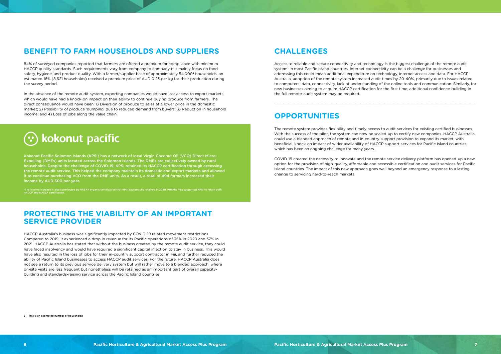#### **BENEFIT TO FARM HOUSEHOLDS AND SUPPLIERS CHALLENGES**

#### **OPPORTUNITIES**

84% of surveyed companies reported that farmers are offered a premium for compliance with minimum HACCP quality standards. Such requirements vary from company to company but mainly focus on food safety, hygiene, and product quality. With a farmer/supplier base of approximately 54,000**5** households, an estimated 16% (8,621 households) received a premium price of AUD 0.23 per kg for their production during the survey period.

In the absence of the remote audit system, exporting companies would have lost access to export markets, which would have had a knock-on impact on their ability to continue buying produce from farmers. The direct consequence would have been: 1) Diversion of produce to sales at a lower price in the domestic market; 2) Possibility of produce 'dumping' due to reduced demand from buyers; 3) Reduction in household income; and 4) Loss of jobs along the value chain.



Kokonut Pacific Solomon Islands (KPSI) has a network of local Virgin Coconut Oil (VCO) Direct Micro-Expelling (DMEs) units located across the Solomon Islands. The DMEs are collectively owned by rural households. Despite the challenge of COVID-19, KPSI retained its HACCP certification through accessing the remote audit service. This helped the company maintain its domestic and export markets and allowed it to continue purchasing VCO from the DME units. As a result, a total of 494 farmers increased their income by AUD 300 per year.

\*The income increase is also contributed by NASAA organic certification that KPSI successfully retained in 2020. PHAMA Plus supported KPSI to retain both HACCP and NASSA certification.

#### **PROTECTING THE VIABILITY OF AN IMPORTANT SERVICE PROVIDER**

HACCP Australia's business was significantly impacted by COVID-19 related movement restrictions. Compared to 2019, it experienced a drop in revenue for its Pacific operations of 35% in 2020 and 37% in 2021. HACCP Australia has stated that without the business created by the remote audit service, they could have faced insolvency and would have required a significant capital injection to stay in business. This would have also resulted in the loss of jobs for their in-country support contractor in Fiji, and further reduced the ability of Pacific Island businesses to access HACCP audit services. For the future, HACCP Australia does not see a return to its previous service delivery system but will rather move to a blended approach, where on-site visits are less frequent but nonetheless will be retained as an important part of overall capacitybuilding and standards-raising service across the Pacific Island countries.

Access to reliable and secure connectivity and technology is the biggest challenge of the remote audit system. In most Pacific Island countries, internet connectivity can be a challenge for businesses and addressing this could mean additional expenditure on technology, internet access and data. For HACCP Australia, adoption of the remote system increased audit times by 20-40%, primarily due to issues related to computers, data, connectivity, lack of understanding of the online tools and communication. Similarly, for new businesses aiming to acquire HACCP certification for the first time, additional confidence-building in the full remote-audit system may be required.

The remote system provides flexibility and timely access to audit services for existing certified businesses. With the success of the pilot, the system can now be scaled-up to certify new companies. HACCP Australia could use a blended approach of remote and in-country support provision to expand its market, with beneficial, knock-on impact of wider availability of HACCP support services for Pacific Island countries, which has been an ongoing challenge for many years.

COVID-19 created the necessity to innovate and the remote service delivery platform has opened-up a new option for the provision of high-quality, affordable and accessible certification and audit services for Pacific Island countries. The impact of this new approach goes well beyond an emergency response to a lasting change to servicing hard-to-reach markets.

5 This is an estimated number of households